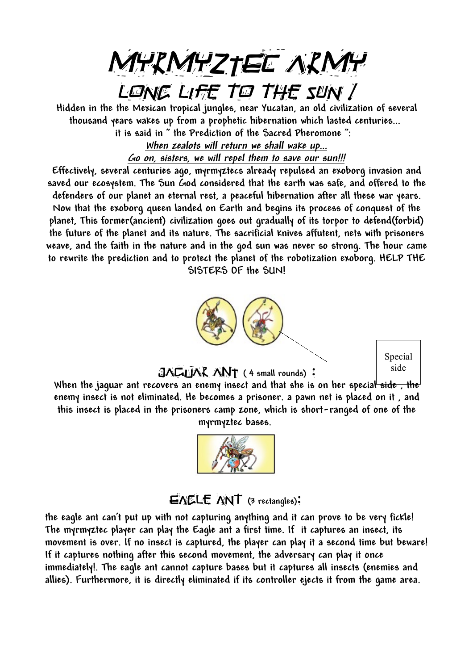MYRMYZTEC ARMY long life to the sun !

**Hidden in the the Mexican tropical jungles, near Yucatan, an old civilization of several thousand years wakes up from a prophetic hibernation which lasted centuries... it is said in " the Prediction of the Sacred Pheromone ":** 

**When zealots will return we shall wake up... Go on, sisters, we will repel them to save our sun!!!**

**Effectively, several centuries ago, myrmyztecs already repulsed an exoborg invasion and saved our ecosystem. The Sun God considered that the earth was safe, and offered to the defenders of our planet an eternal rest, a peaceful hibernation after all these war years. Now that the exoborg queen landed on Earth and begins its process of conquest of the planet, This former(ancient) civilization goes out gradually of its torpor to defend(forbid) the future of the planet and its nature. The sacrificial knives affutent, nets with prisoners weave, and the faith in the nature and in the god sun was never so strong. The hour came to rewrite the prediction and to protect the planet of the robotization exoborg. HELP THE SISTERS OF the SUN!**



**When the jaguar ant recovers an enemy insect and that she is on her special side , the enemy insect is not eliminated. He becomes a prisoner. a pawn net is placed on it , and this insect is placed in the prisoners camp zone, which is short-ranged of one of the myrmyztec bases.** 



Eagle ant **(3 rectangles)**:

**the eagle ant can't put up with not capturing anything and it can prove to be very fickle! The myrmyztec player can play the Eagle ant a first time. If it captures an insect, its movement is over. If no insect is captured, the player can play it a second time but beware! If it captures nothing after this second movement, the adversary can play it once immediately!. The eagle ant cannot capture bases but it captures all insects (enemies and allies). Furthermore, it is directly eliminated if its controller ejects it from the game area.**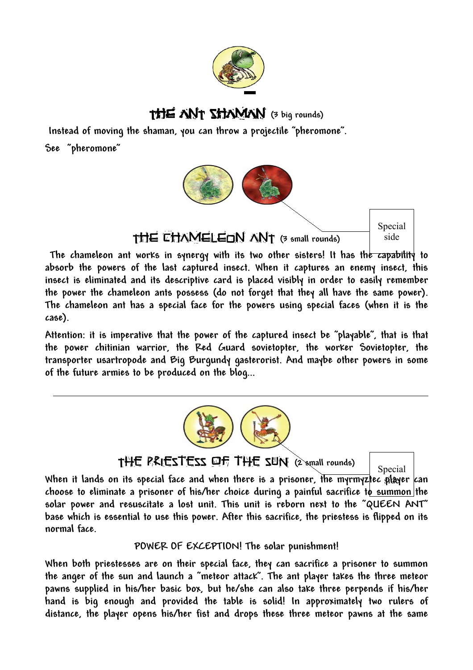

## THE ANT SHAMAN **(3 big rounds)**

**Instead of moving the shaman, you can throw a projectile "pheromone". See "pheromone"**



**The chameleon ant works in synergy with its two other sisters! It has the capability to absorb the powers of the last captured insect. When it captures an enemy insect, this insect is eliminated and its descriptive card is placed visibly in order to easily remember the power the chameleon ants possess (do not forget that they all have the same power). The chameleon ant has a special face for the powers using special faces (when it is the case).**

**Attention: it is imperative that the power of the captured insect be "playable", that is that the power chitinian warrior, the Red Guard sovietopter, the worker Sovietopter, the transporter usartropode and Big Burgundy gasterorist. And maybe other powers in some of the future armies to be produced on the blog...**



The priestess of the sun **(2 small rounds)**

Special

**When it lands on its special face and when there is a prisoner, the myrmyztec player can** side**choose to eliminate a prisoner of his/her choice during a painful sacrifice to summon the solar power and resuscitate a lost unit. This unit is reborn next to the "QUEEN ANT" base which is essential to use this power. After this sacrifice, the priestess is flipped on its normal face.**

## **POWER OF EXCEPTION! The solar punishment!**

**When both priestesses are on their special face, they can sacrifice a prisoner to summon the anger of the sun and launch a "meteor attack". The ant player takes the three meteor pawns supplied in his/her basic box, but he/she can also take three perpends if his/her hand is big enough and provided the table is solid! In approximately two rulers of distance, the player opens his/her fist and drops these three meteor pawns at the same**